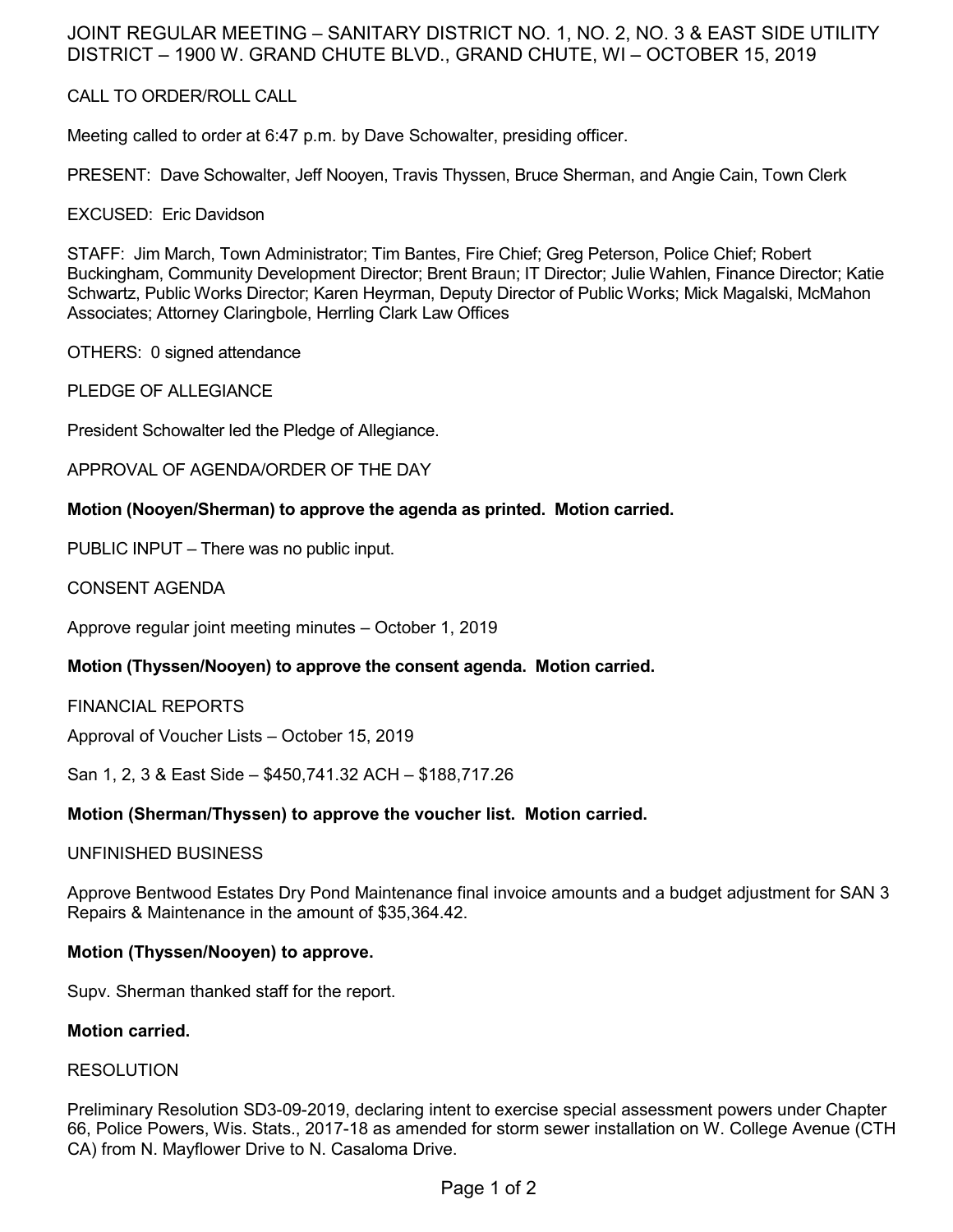## JOINT REGULAR MEETING – SANITARY DISTRICT NO. 1, NO. 2, NO. 3 & EAST SIDE UTILITY DISTRICT – 1900 W. GRAND CHUTE BLVD., GRAND CHUTE, WI – OCTOBER 15, 2019

## CALL TO ORDER/ROLL CALL

Meeting called to order at 6:47 p.m. by Dave Schowalter, presiding officer.

PRESENT: Dave Schowalter, Jeff Nooyen, Travis Thyssen, Bruce Sherman, and Angie Cain, Town Clerk

EXCUSED: Eric Davidson

STAFF: Jim March, Town Administrator; Tim Bantes, Fire Chief; Greg Peterson, Police Chief; Robert Buckingham, Community Development Director; Brent Braun; IT Director; Julie Wahlen, Finance Director; Katie Schwartz, Public Works Director; Karen Heyrman, Deputy Director of Public Works; Mick Magalski, McMahon Associates; Attorney Claringbole, Herrling Clark Law Offices

OTHERS: 0 signed attendance

PLEDGE OF ALLEGIANCE

President Schowalter led the Pledge of Allegiance.

APPROVAL OF AGENDA/ORDER OF THE DAY

#### **Motion (Nooyen/Sherman) to approve the agenda as printed. Motion carried.**

PUBLIC INPUT – There was no public input.

CONSENT AGENDA

Approve regular joint meeting minutes – October 1, 2019

#### **Motion (Thyssen/Nooyen) to approve the consent agenda. Motion carried.**

FINANCIAL REPORTS

Approval of Voucher Lists – October 15, 2019

San 1, 2, 3 & East Side – \$450,741.32 ACH – \$188,717.26

#### **Motion (Sherman/Thyssen) to approve the voucher list. Motion carried.**

#### UNFINISHED BUSINESS

Approve Bentwood Estates Dry Pond Maintenance final invoice amounts and a budget adjustment for SAN 3 Repairs & Maintenance in the amount of \$35,364.42.

#### **Motion (Thyssen/Nooyen) to approve.**

Supv. Sherman thanked staff for the report.

#### **Motion carried.**

#### RESOLUTION

Preliminary Resolution SD3-09-2019, declaring intent to exercise special assessment powers under Chapter 66, Police Powers, Wis. Stats., 2017-18 as amended for storm sewer installation on W. College Avenue (CTH CA) from N. Mayflower Drive to N. Casaloma Drive.